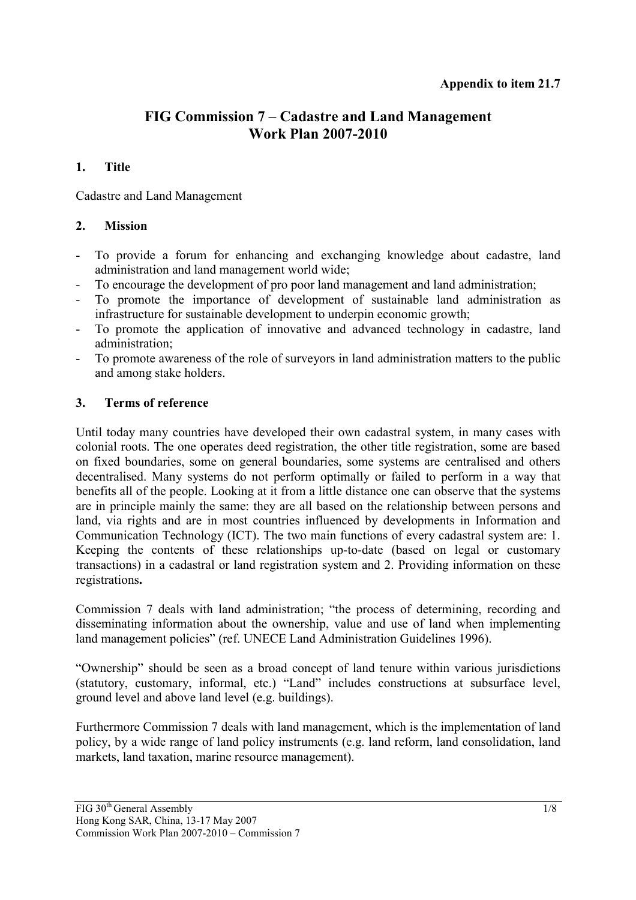# **FIG Commission 7 – Cadastre and Land Management Work Plan 2007-2010**

### **1. Title**

Cadastre and Land Management

#### **2. Mission**

- To provide a forum for enhancing and exchanging knowledge about cadastre, land administration and land management world wide;
- To encourage the development of pro poor land management and land administration;
- To promote the importance of development of sustainable land administration as infrastructure for sustainable development to underpin economic growth;
- To promote the application of innovative and advanced technology in cadastre, land administration;
- To promote awareness of the role of surveyors in land administration matters to the public and among stake holders.

## **3. Terms of reference**

Until today many countries have developed their own cadastral system, in many cases with colonial roots. The one operates deed registration, the other title registration, some are based on fixed boundaries, some on general boundaries, some systems are centralised and others decentralised. Many systems do not perform optimally or failed to perform in a way that benefits all of the people. Looking at it from a little distance one can observe that the systems are in principle mainly the same: they are all based on the relationship between persons and land, via rights and are in most countries influenced by developments in Information and Communication Technology (ICT). The two main functions of every cadastral system are: 1. Keeping the contents of these relationships up-to-date (based on legal or customary transactions) in a cadastral or land registration system and 2. Providing information on these registrations**.** 

Commission 7 deals with land administration; "the process of determining, recording and disseminating information about the ownership, value and use of land when implementing land management policies" (ref. UNECE Land Administration Guidelines 1996).

"Ownership" should be seen as a broad concept of land tenure within various jurisdictions (statutory, customary, informal, etc.) "Land" includes constructions at subsurface level, ground level and above land level (e.g. buildings).

Furthermore Commission 7 deals with land management, which is the implementation of land policy, by a wide range of land policy instruments (e.g. land reform, land consolidation, land markets, land taxation, marine resource management).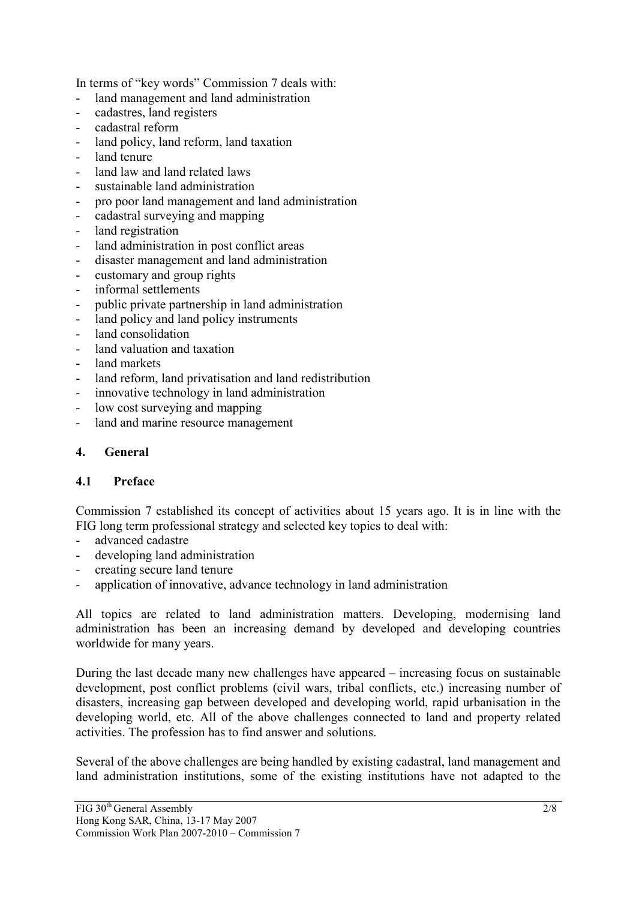In terms of "key words" Commission 7 deals with:

- land management and land administration
- cadastres, land registers
- cadastral reform
- land policy, land reform, land taxation
- land tenure
- land law and land related laws
- sustainable land administration
- pro poor land management and land administration
- cadastral surveying and mapping
- land registration
- land administration in post conflict areas
- disaster management and land administration
- customary and group rights
- informal settlements
- public private partnership in land administration
- land policy and land policy instruments
- land consolidation
- land valuation and taxation
- land markets
- land reform, land privatisation and land redistribution
- innovative technology in land administration
- low cost surveying and mapping
- land and marine resource management

### **4. General**

#### **4.1 Preface**

Commission 7 established its concept of activities about 15 years ago. It is in line with the FIG long term professional strategy and selected key topics to deal with:

- advanced cadastre
- developing land administration
- creating secure land tenure
- application of innovative, advance technology in land administration

All topics are related to land administration matters. Developing, modernising land administration has been an increasing demand by developed and developing countries worldwide for many years.

During the last decade many new challenges have appeared – increasing focus on sustainable development, post conflict problems (civil wars, tribal conflicts, etc.) increasing number of disasters, increasing gap between developed and developing world, rapid urbanisation in the developing world, etc. All of the above challenges connected to land and property related activities. The profession has to find answer and solutions.

Several of the above challenges are being handled by existing cadastral, land management and land administration institutions, some of the existing institutions have not adapted to the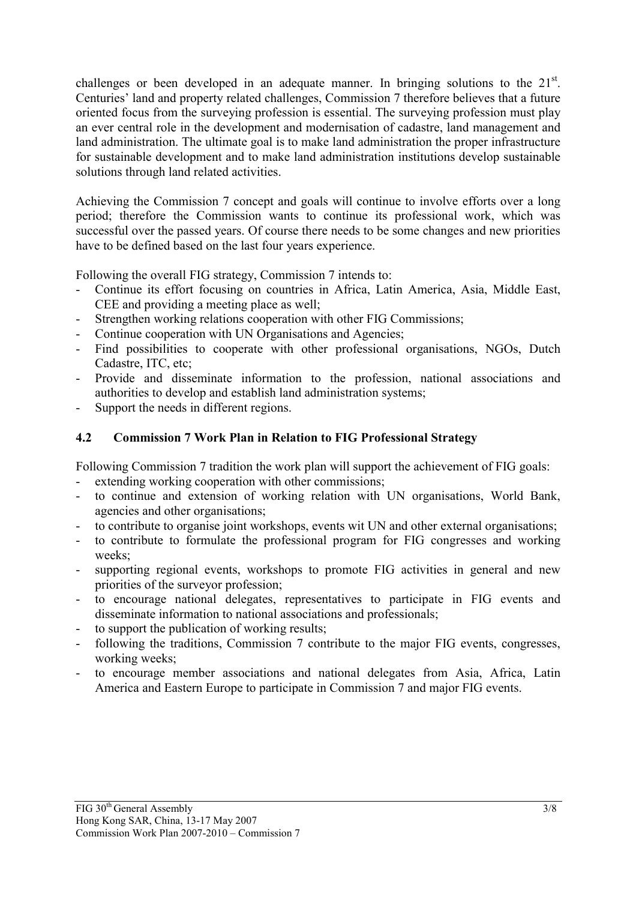challenges or been developed in an adequate manner. In bringing solutions to the  $21<sup>st</sup>$ . Centuries' land and property related challenges, Commission 7 therefore believes that a future oriented focus from the surveying profession is essential. The surveying profession must play an ever central role in the development and modernisation of cadastre, land management and land administration. The ultimate goal is to make land administration the proper infrastructure for sustainable development and to make land administration institutions develop sustainable solutions through land related activities.

Achieving the Commission 7 concept and goals will continue to involve efforts over a long period; therefore the Commission wants to continue its professional work, which was successful over the passed years. Of course there needs to be some changes and new priorities have to be defined based on the last four years experience.

Following the overall FIG strategy, Commission 7 intends to:

- Continue its effort focusing on countries in Africa, Latin America, Asia, Middle East, CEE and providing a meeting place as well;
- Strengthen working relations cooperation with other FIG Commissions;
- Continue cooperation with UN Organisations and Agencies;
- Find possibilities to cooperate with other professional organisations, NGOs, Dutch Cadastre, ITC, etc;
- Provide and disseminate information to the profession, national associations and authorities to develop and establish land administration systems;
- Support the needs in different regions.

## **4.2 Commission 7 Work Plan in Relation to FIG Professional Strategy**

Following Commission 7 tradition the work plan will support the achievement of FIG goals:

- extending working cooperation with other commissions;
- to continue and extension of working relation with UN organisations, World Bank, agencies and other organisations;
- to contribute to organise joint workshops, events wit UN and other external organisations;
- to contribute to formulate the professional program for FIG congresses and working weeks;
- supporting regional events, workshops to promote FIG activities in general and new priorities of the surveyor profession;
- to encourage national delegates, representatives to participate in FIG events and disseminate information to national associations and professionals;
- to support the publication of working results;
- following the traditions, Commission 7 contribute to the major FIG events, congresses, working weeks;
- to encourage member associations and national delegates from Asia, Africa, Latin America and Eastern Europe to participate in Commission 7 and major FIG events.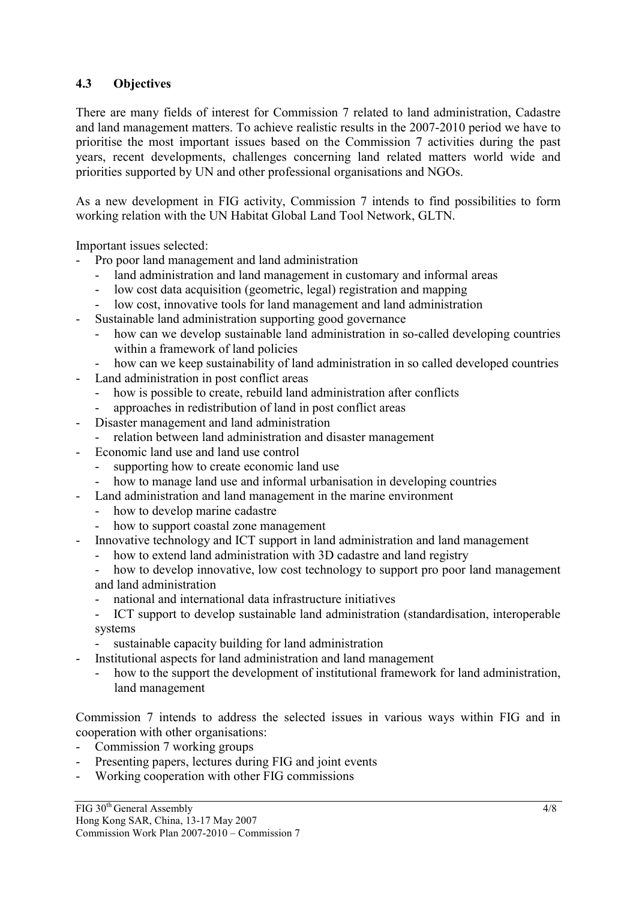## **4.3 Objectives**

There are many fields of interest for Commission 7 related to land administration, Cadastre and land management matters. To achieve realistic results in the 2007-2010 period we have to prioritise the most important issues based on the Commission 7 activities during the past years, recent developments, challenges concerning land related matters world wide and priorities supported by UN and other professional organisations and NGOs.

As a new development in FIG activity, Commission 7 intends to find possibilities to form working relation with the UN Habitat Global Land Tool Network, GLTN.

Important issues selected:

- Pro poor land management and land administration
	- land administration and land management in customary and informal areas
	- low cost data acquisition (geometric, legal) registration and mapping
	- low cost, innovative tools for land management and land administration
- Sustainable land administration supporting good governance
	- how can we develop sustainable land administration in so-called developing countries within a framework of land policies
	- how can we keep sustainability of land administration in so called developed countries
- Land administration in post conflict areas
	- how is possible to create, rebuild land administration after conflicts
	- approaches in redistribution of land in post conflict areas
- Disaster management and land administration
	- relation between land administration and disaster management
- Economic land use and land use control
	- supporting how to create economic land use
	- how to manage land use and informal urbanisation in developing countries
- Land administration and land management in the marine environment
	- how to develop marine cadastre
	- how to support coastal zone management
- Innovative technology and ICT support in land administration and land management
	- how to extend land administration with 3D cadastre and land registry
	- how to develop innovative, low cost technology to support pro poor land management and land administration
	- national and international data infrastructure initiatives
	- ICT support to develop sustainable land administration (standardisation, interoperable systems
	- sustainable capacity building for land administration
- Institutional aspects for land administration and land management
	- how to the support the development of institutional framework for land administration, land management

Commission 7 intends to address the selected issues in various ways within FIG and in cooperation with other organisations:

- Commission 7 working groups
- Presenting papers, lectures during FIG and joint events
- Working cooperation with other FIG commissions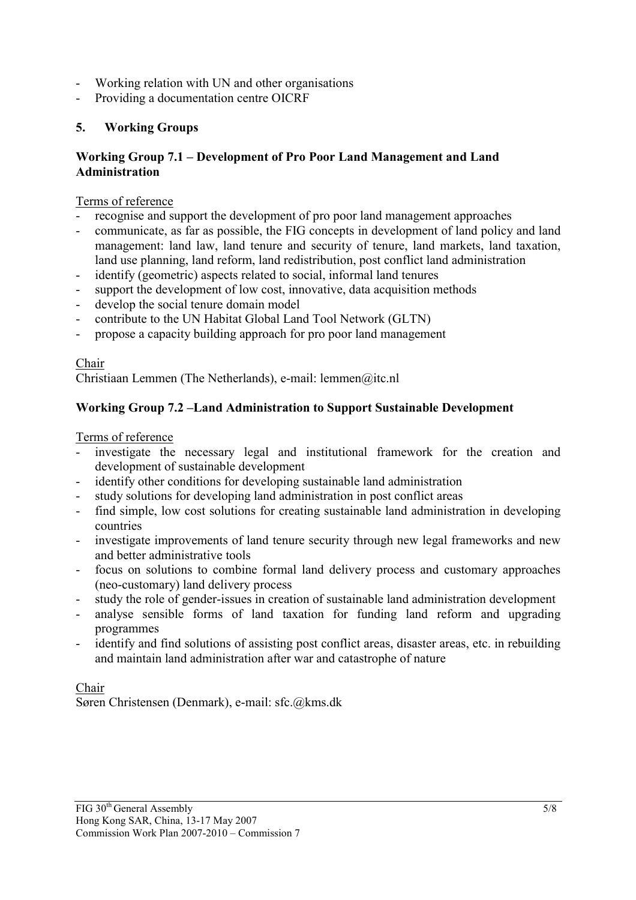- Working relation with UN and other organisations
- Providing a documentation centre OICRF

# **5. Working Groups**

### **Working Group 7.1 – Development of Pro Poor Land Management and Land Administration**

## Terms of reference

- recognise and support the development of pro poor land management approaches
- communicate, as far as possible, the FIG concepts in development of land policy and land management: land law, land tenure and security of tenure, land markets, land taxation, land use planning, land reform, land redistribution, post conflict land administration
- identify (geometric) aspects related to social, informal land tenures
- support the development of low cost, innovative, data acquisition methods
- develop the social tenure domain model
- contribute to the UN Habitat Global Land Tool Network (GLTN)
- propose a capacity building approach for pro poor land management

## Chair

Christiaan Lemmen (The Netherlands), e-mail: lemmen@itc.nl

# **Working Group 7.2 –Land Administration to Support Sustainable Development**

## Terms of reference

- investigate the necessary legal and institutional framework for the creation and development of sustainable development
- identify other conditions for developing sustainable land administration
- study solutions for developing land administration in post conflict areas
- find simple, low cost solutions for creating sustainable land administration in developing countries
- investigate improvements of land tenure security through new legal frameworks and new and better administrative tools
- focus on solutions to combine formal land delivery process and customary approaches (neo-customary) land delivery process
- study the role of gender-issues in creation of sustainable land administration development
- analyse sensible forms of land taxation for funding land reform and upgrading programmes
- identify and find solutions of assisting post conflict areas, disaster areas, etc. in rebuilding and maintain land administration after war and catastrophe of nature

# Chair

Søren Christensen (Denmark), e-mail: sfc.@kms.dk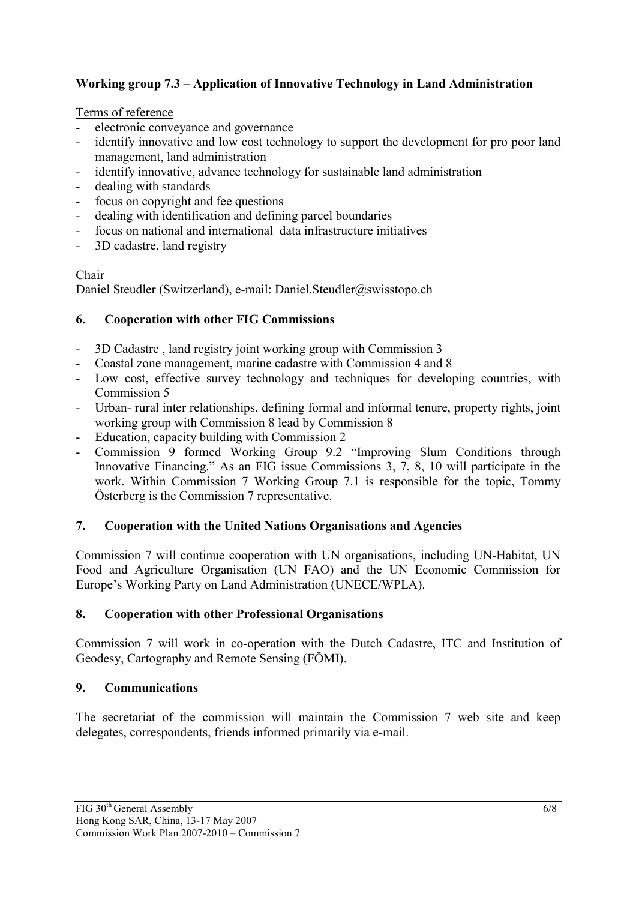# **Working group 7.3 – Application of Innovative Technology in Land Administration**

## Terms of reference

- electronic conveyance and governance
- identify innovative and low cost technology to support the development for pro poor land management, land administration
- identify innovative, advance technology for sustainable land administration
- dealing with standards
- focus on copyright and fee questions
- dealing with identification and defining parcel boundaries
- focus on national and international data infrastructure initiatives
- 3D cadastre, land registry

# Chair

Daniel Steudler (Switzerland), e-mail: Daniel.Steudler@swisstopo.ch

## **6. Cooperation with other FIG Commissions**

- 3D Cadastre , land registry joint working group with Commission 3
- Coastal zone management, marine cadastre with Commission 4 and 8
- Low cost, effective survey technology and techniques for developing countries, with Commission 5
- Urban- rural inter relationships, defining formal and informal tenure, property rights, joint working group with Commission 8 lead by Commission 8
- Education, capacity building with Commission 2
- Commission 9 formed Working Group 9.2 "Improving Slum Conditions through Innovative Financing." As an FIG issue Commissions 3, 7, 8, 10 will participate in the work. Within Commission 7 Working Group 7.1 is responsible for the topic, Tommy Österberg is the Commission 7 representative.

# **7. Cooperation with the United Nations Organisations and Agencies**

Commission 7 will continue cooperation with UN organisations, including UN-Habitat, UN Food and Agriculture Organisation (UN FAO) and the UN Economic Commission for Europe's Working Party on Land Administration (UNECE/WPLA).

## **8. Cooperation with other Professional Organisations**

Commission 7 will work in co-operation with the Dutch Cadastre, ITC and Institution of Geodesy, Cartography and Remote Sensing (FÖMI).

# **9. Communications**

The secretariat of the commission will maintain the Commission 7 web site and keep delegates, correspondents, friends informed primarily via e-mail.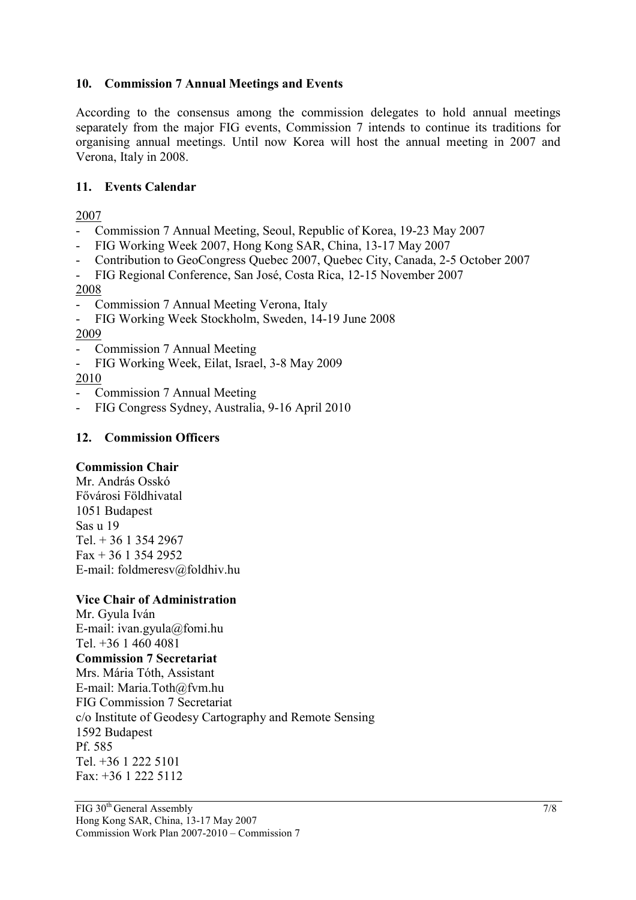### **10. Commission 7 Annual Meetings and Events**

According to the consensus among the commission delegates to hold annual meetings separately from the major FIG events, Commission 7 intends to continue its traditions for organising annual meetings. Until now Korea will host the annual meeting in 2007 and Verona, Italy in 2008.

### **11. Events Calendar**

2007

- Commission 7 Annual Meeting, Seoul, Republic of Korea, 19-23 May 2007
- FIG Working Week 2007, Hong Kong SAR, China, 13-17 May 2007
- Contribution to GeoCongress Quebec 2007, Quebec City, Canada, 2-5 October 2007
- FIG Regional Conference, San José, Costa Rica, 12-15 November 2007

2008

Commission 7 Annual Meeting Verona, Italy

- FIG Working Week Stockholm, Sweden, 14-19 June 2008 2009

- Commission 7 Annual Meeting
- FIG Working Week, Eilat, Israel, 3-8 May 2009

2010

- Commission 7 Annual Meeting
- FIG Congress Sydney, Australia, 9-16 April 2010

### **12. Commission Officers**

#### **Commission Chair**

Mr. András Osskó Fővárosi Földhivatal 1051 Budapest Sas u 19 Tel. + 36 1 354 2967  $Fax + 36$  1 354 2952 E-mail: foldmeresv@foldhiv.hu

#### **Vice Chair of Administration**

Mr. Gyula Iván E-mail: ivan.gyula@fomi.hu Tel. +36 1 460 4081 **Commission 7 Secretariat** Mrs. Mária Tóth, Assistant E-mail: Maria.Toth@fvm.hu FIG Commission 7 Secretariat c/o Institute of Geodesy Cartography and Remote Sensing 1592 Budapest Pf. 585 Tel. +36 1 222 5101 Fax: +36 1 222 5112